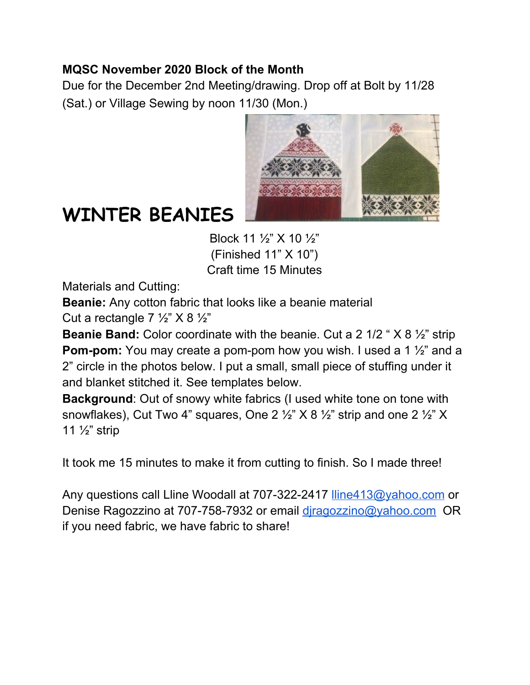## **MQSC November 2020 Block of the Month**

Due for the December 2nd Meeting/drawing. Drop off at Bolt by 11/28 (Sat.) or Village Sewing by noon 11/30 (Mon.)



## **WINTER BEANIES**

Block 11 ½" X 10 ½" (Finished 11" X 10") Craft time 15 Minutes

Materials and Cutting:

**Beanie:** Any cotton fabric that looks like a beanie material

Cut a rectangle  $7\frac{1}{2}$ " X 8  $\frac{1}{2}$ "

**Beanie Band:** Color coordinate with the beanie. Cut a 2 1/2 " X 8 ½" strip **Pom-pom:** You may create a pom-pom how you wish. I used a 1  $\frac{1}{2}$  and a 2" circle in the photos below. I put a small, small piece of stuffing under it and blanket stitched it. See templates below.

**Background**: Out of snowy white fabrics (I used white tone on tone with snowflakes), Cut Two 4" squares, One 2  $\frac{1}{2}$ " X 8  $\frac{1}{2}$ " strip and one 2  $\frac{1}{2}$ " X 11 ½" strip

It took me 15 minutes to make it from cutting to finish. So I made three!

Any questions call Lline Woodall at 707-322-2417 [lline413@yahoo.com](mailto:lline413@yahoo.com) or Denise Ragozzino at 707-758-7932 or email [djragozzino@yahoo.com](mailto:djragozzino@yahoo.com) OR if you need fabric, we have fabric to share!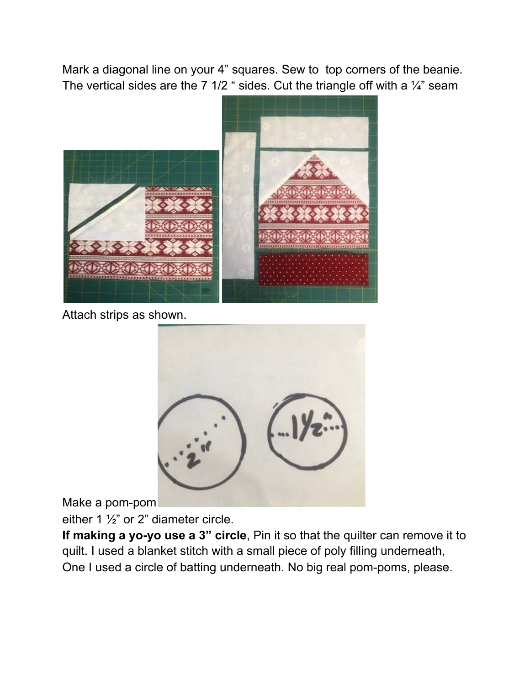Mark a diagonal line on your 4" squares. Sew to top corners of the beanie. The vertical sides are the 7 1/2 " sides. Cut the triangle off with a  $\frac{1}{4}$ " seam



Attach strips as shown.



Make a pom-pom

either 1 ½" or 2" diameter circle.

**If making a yo-yo use a 3" circle**, Pin it so that the quilter can remove it to quilt. I used a blanket stitch with a small piece of poly filling underneath, One I used a circle of batting underneath. No big real pom-poms, please.